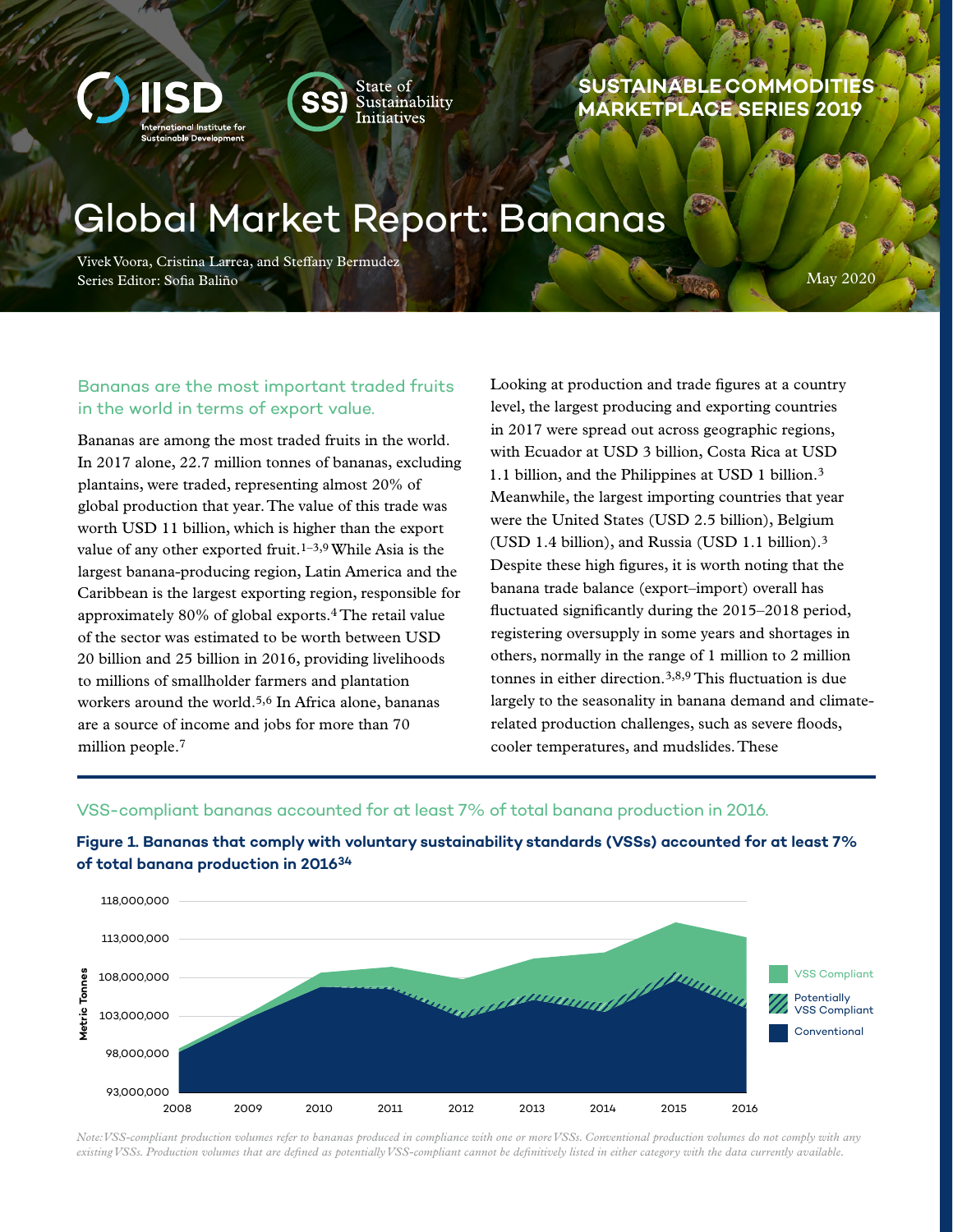



# **SUSTAINABLE COMMODITIES MARKETPLACE SERIES 2019**

# Global Market Report: Bananas

Vivek Voora, Cristina Larrea, and Steffany Bermudez Series Editor: Sofia Baliño

May 2020

# Bananas are the most important traded fruits in the world in terms of export value.

Bananas are among the most traded fruits in the world. In 2017 alone, 22.7 million tonnes of bananas, excluding plantains, were traded, representing almost 20% of global production that year. The value of this trade was worth USD 11 billion, which is higher than the export value of any other exported fruit.<sup>1–3,9</sup> While Asia is the largest banana-producing region, Latin America and the Caribbean is the largest exporting region, responsible for approximately 80% of global exports.4 The retail value of the sector was estimated to be worth between USD 20 billion and 25 billion in 2016, providing livelihoods to millions of smallholder farmers and plantation workers around the world.<sup>5,6</sup> In Africa alone, bananas are a source of income and jobs for more than 70 million people.7

Looking at production and trade figures at a country level, the largest producing and exporting countries in 2017 were spread out across geographic regions, with Ecuador at USD 3 billion, Costa Rica at USD 1.1 billion, and the Philippines at USD 1 billion.3 Meanwhile, the largest importing countries that year were the United States (USD 2.5 billion), Belgium (USD 1.4 billion), and Russia (USD 1.1 billion).3 Despite these high figures, it is worth noting that the banana trade balance (export–import) overall has fluctuated significantly during the 2015–2018 period, registering oversupply in some years and shortages in others, normally in the range of 1 million to 2 million tonnes in either direction.3,8,9 This fluctuation is due largely to the seasonality in banana demand and climaterelated production challenges, such as severe floods, cooler temperatures, and mudslides. These

## VSS-compliant bananas accounted for at least 7% of total banana production in 2016.



# **Figure 1. Bananas that comply with voluntary sustainability standards (VSSs) accounted for at least 7% of total banana production in 201634**

*Note: VSS-compliant production volumes refer to bananas produced in compliance with one or more VSSs. Conventional production volumes do not comply with any existing VSSs. Production volumes that are defined as potentially VSS-compliant cannot be definitively listed in either category with the data currently available.*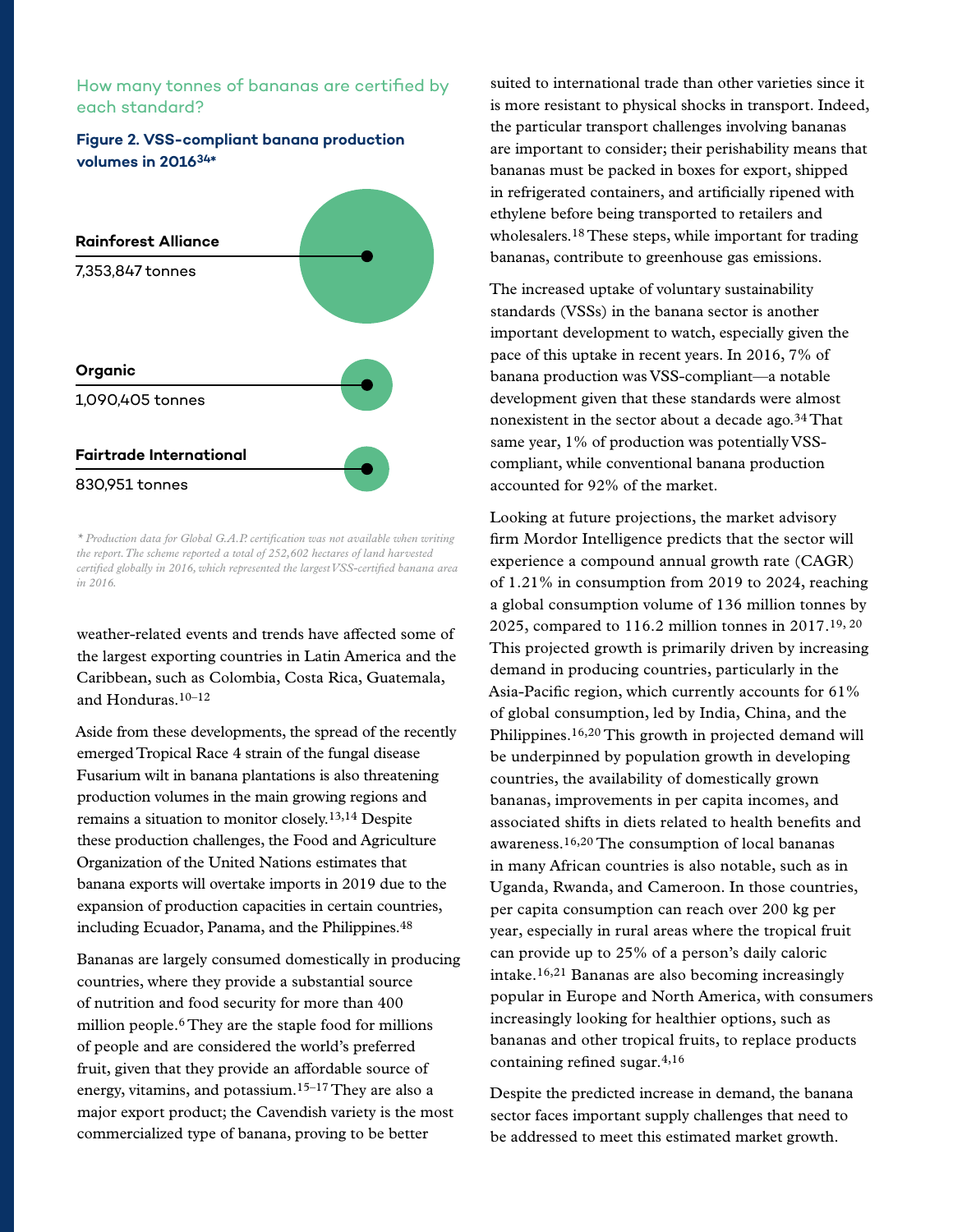# How many tonnes of bananas are certified by each standard?

## **Figure 2. VSS-compliant banana production volumes in 201634\***



*\* Production data for Global G.A.P. certification was not available when writing the report. The scheme reported a total of 252,602 hectares of land harvested certified globally in 2016, which represented the largest VSS-certified banana area in 2016.*

weather-related events and trends have affected some of the largest exporting countries in Latin America and the Caribbean, such as Colombia, Costa Rica, Guatemala, and Honduras  $10-12$ 

Aside from these developments, the spread of the recently emerged Tropical Race 4 strain of the fungal disease Fusarium wilt in banana plantations is also threatening production volumes in the main growing regions and remains a situation to monitor closely.13,14 Despite these production challenges, the Food and Agriculture Organization of the United Nations estimates that banana exports will overtake imports in 2019 due to the expansion of production capacities in certain countries, including Ecuador, Panama, and the Philippines.48

Bananas are largely consumed domestically in producing countries, where they provide a substantial source of nutrition and food security for more than 400 million people.6 They are the staple food for millions of people and are considered the world's preferred fruit, given that they provide an affordable source of energy, vitamins, and potassium.15–17 They are also a major export product; the Cavendish variety is the most commercialized type of banana, proving to be better

suited to international trade than other varieties since it is more resistant to physical shocks in transport. Indeed, the particular transport challenges involving bananas are important to consider; their perishability means that bananas must be packed in boxes for export, shipped in refrigerated containers, and artificially ripened with ethylene before being transported to retailers and wholesalers.18 These steps, while important for trading bananas, contribute to greenhouse gas emissions.

The increased uptake of voluntary sustainability standards (VSSs) in the banana sector is another important development to watch, especially given the pace of this uptake in recent years. In 2016, 7% of banana production was VSS-compliant—a notable development given that these standards were almost nonexistent in the sector about a decade ago.<sup>34</sup> That same year, 1% of production was potentially VSScompliant, while conventional banana production accounted for 92% of the market.

Looking at future projections, the market advisory firm Mordor Intelligence predicts that the sector will experience a compound annual growth rate (CAGR) of 1.21% in consumption from 2019 to 2024, reaching a global consumption volume of 136 million tonnes by 2025, compared to 116.2 million tonnes in 2017.19, 20 This projected growth is primarily driven by increasing demand in producing countries, particularly in the Asia-Pacific region, which currently accounts for 61% of global consumption, led by India, China, and the Philippines.16,20 This growth in projected demand will be underpinned by population growth in developing countries, the availability of domestically grown bananas, improvements in per capita incomes, and associated shifts in diets related to health benefits and awareness.16,20 The consumption of local bananas in many African countries is also notable, such as in Uganda, Rwanda, and Cameroon. In those countries, per capita consumption can reach over 200 kg per year, especially in rural areas where the tropical fruit can provide up to 25% of a person's daily caloric intake.16,21 Bananas are also becoming increasingly popular in Europe and North America, with consumers increasingly looking for healthier options, such as bananas and other tropical fruits, to replace products containing refined sugar.4,16

Despite the predicted increase in demand, the banana sector faces important supply challenges that need to be addressed to meet this estimated market growth.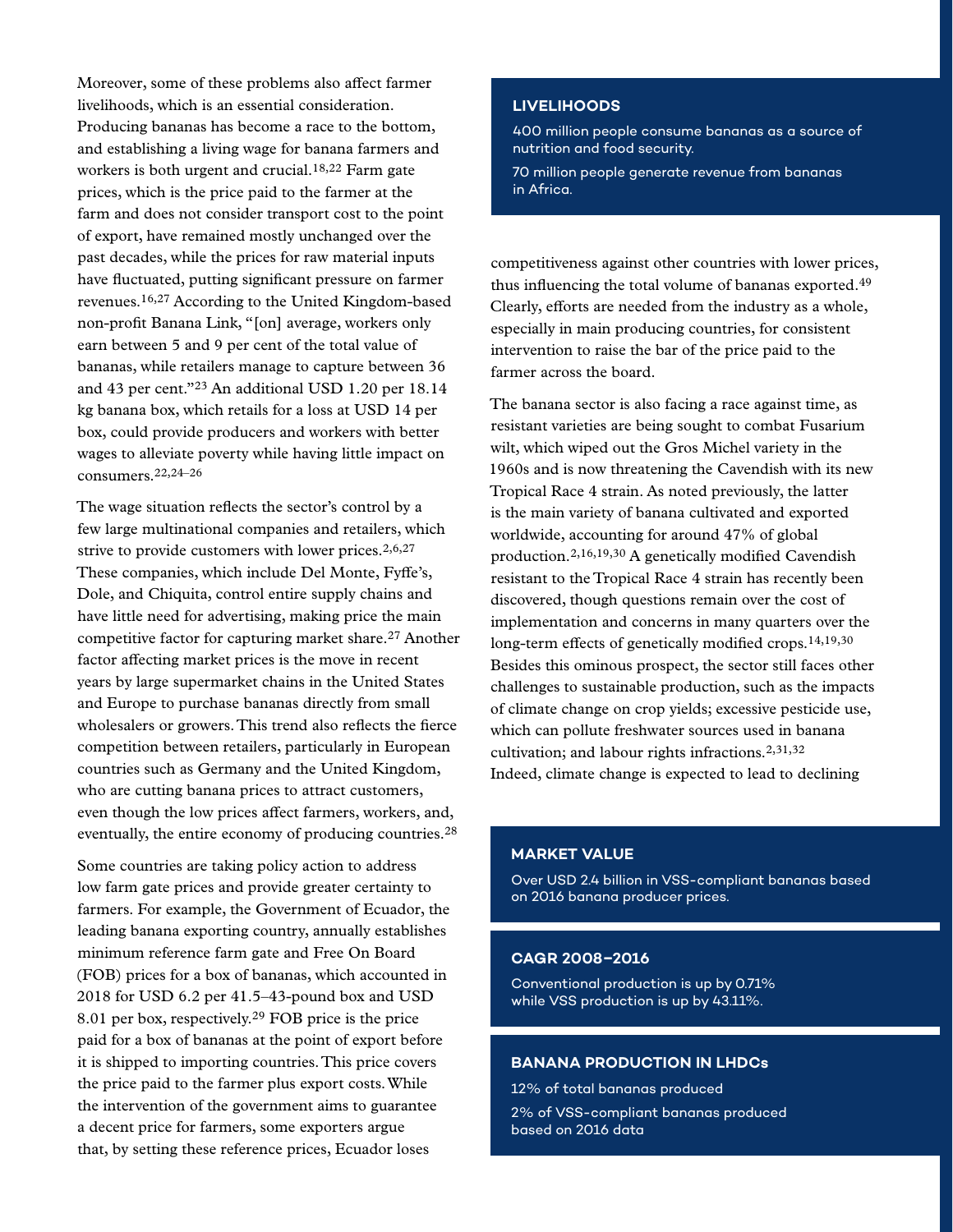Moreover, some of these problems also affect farmer livelihoods, which is an essential consideration. Producing bananas has become a race to the bottom, and establishing a living wage for banana farmers and workers is both urgent and crucial.18,22 Farm gate prices, which is the price paid to the farmer at the farm and does not consider transport cost to the point of export, have remained mostly unchanged over the past decades, while the prices for raw material inputs have fluctuated, putting significant pressure on farmer revenues.16,27 According to the United Kingdom-based non-profit Banana Link, "[on] average, workers only earn between 5 and 9 per cent of the total value of bananas, while retailers manage to capture between 36 and 43 per cent."23 An additional USD 1.20 per 18.14 kg banana box, which retails for a loss at USD 14 per box, could provide producers and workers with better wages to alleviate poverty while having little impact on consumers.22,24–26

The wage situation reflects the sector's control by a few large multinational companies and retailers, which strive to provide customers with lower prices. $2,6,27$ These companies, which include Del Monte, Fyffe's, Dole, and Chiquita, control entire supply chains and have little need for advertising, making price the main competitive factor for capturing market share.27 Another factor affecting market prices is the move in recent years by large supermarket chains in the United States and Europe to purchase bananas directly from small wholesalers or growers. This trend also reflects the fierce competition between retailers, particularly in European countries such as Germany and the United Kingdom, who are cutting banana prices to attract customers, even though the low prices affect farmers, workers, and, eventually, the entire economy of producing countries.28

Some countries are taking policy action to address low farm gate prices and provide greater certainty to farmers. For example, the Government of Ecuador, the leading banana exporting country, annually establishes minimum reference farm gate and Free On Board (FOB) prices for a box of bananas, which accounted in 2018 for USD 6.2 per 41.5–43-pound box and USD 8.01 per box, respectively.29 FOB price is the price paid for a box of bananas at the point of export before it is shipped to importing countries. This price covers the price paid to the farmer plus export costs. While the intervention of the government aims to guarantee a decent price for farmers, some exporters argue that, by setting these reference prices, Ecuador loses

## **LIVELIHOODS**

400 million people consume bananas as a source of nutrition and food security.

70 million people generate revenue from bananas in Africa.

competitiveness against other countries with lower prices, thus influencing the total volume of bananas exported.49 Clearly, efforts are needed from the industry as a whole, especially in main producing countries, for consistent intervention to raise the bar of the price paid to the farmer across the board.

The banana sector is also facing a race against time, as resistant varieties are being sought to combat Fusarium wilt, which wiped out the Gros Michel variety in the 1960s and is now threatening the Cavendish with its new Tropical Race 4 strain. As noted previously, the latter is the main variety of banana cultivated and exported worldwide, accounting for around 47% of global production.2,16,19,30 A genetically modified Cavendish resistant to the Tropical Race 4 strain has recently been discovered, though questions remain over the cost of implementation and concerns in many quarters over the long-term effects of genetically modified crops.<sup>14,19,30</sup> Besides this ominous prospect, the sector still faces other challenges to sustainable production, such as the impacts of climate change on crop yields; excessive pesticide use, which can pollute freshwater sources used in banana cultivation; and labour rights infractions.2,31,32 Indeed, climate change is expected to lead to declining

#### **MARKET VALUE**

Over USD 2.4 billion in VSS-compliant bananas based on 2016 banana producer prices.

### **CAGR 2008–2016**

Conventional production is up by 0.71% while VSS production is up by 43.11%.

#### **BANANA PRODUCTION IN LHDCs**

12% of total bananas produced 2% of VSS-compliant bananas produced based on 2016 data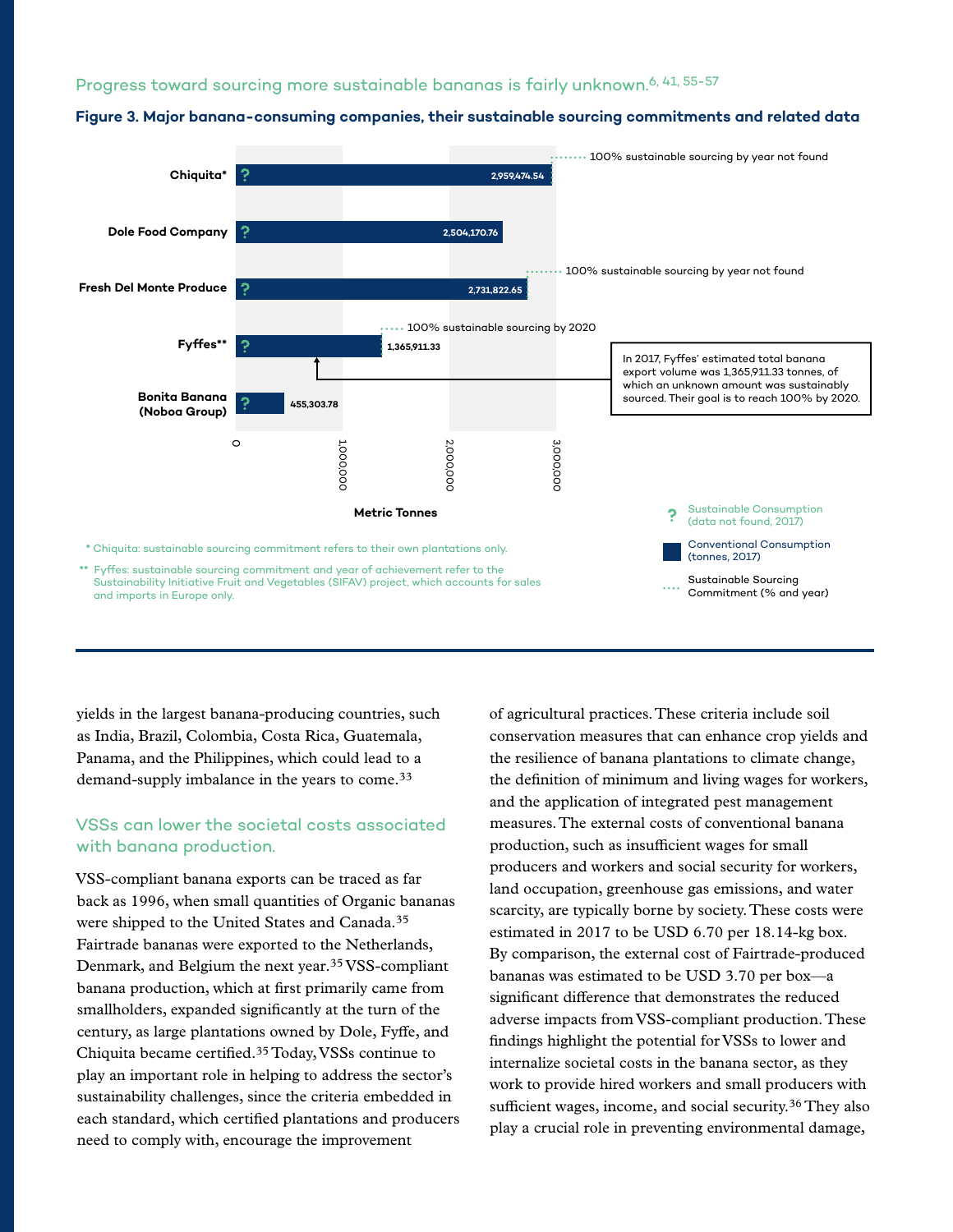#### Progress toward sourcing more sustainable bananas is fairly unknown.<sup>6, 41, 55-57</sup>





yields in the largest banana-producing countries, such as India, Brazil, Colombia, Costa Rica, Guatemala, Panama, and the Philippines, which could lead to a demand-supply imbalance in the years to come.33

# VSSs can lower the societal costs associated with banana production.

VSS-compliant banana exports can be traced as far back as 1996, when small quantities of Organic bananas were shipped to the United States and Canada.35 Fairtrade bananas were exported to the Netherlands, Denmark, and Belgium the next year.35 VSS-compliant banana production, which at first primarily came from smallholders, expanded significantly at the turn of the century, as large plantations owned by Dole, Fyffe, and Chiquita became certified.35 Today, VSSs continue to play an important role in helping to address the sector's sustainability challenges, since the criteria embedded in each standard, which certified plantations and producers need to comply with, encourage the improvement

of agricultural practices. These criteria include soil conservation measures that can enhance crop yields and the resilience of banana plantations to climate change, the definition of minimum and living wages for workers, and the application of integrated pest management measures. The external costs of conventional banana production, such as insufficient wages for small producers and workers and social security for workers, land occupation, greenhouse gas emissions, and water scarcity, are typically borne by society. These costs were estimated in 2017 to be USD 6.70 per 18.14-kg box. By comparison, the external cost of Fairtrade-produced bananas was estimated to be USD 3.70 per box—a significant difference that demonstrates the reduced adverse impacts from VSS-compliant production. These findings highlight the potential for VSSs to lower and internalize societal costs in the banana sector, as they work to provide hired workers and small producers with sufficient wages, income, and social security.<sup>36</sup> They also play a crucial role in preventing environmental damage,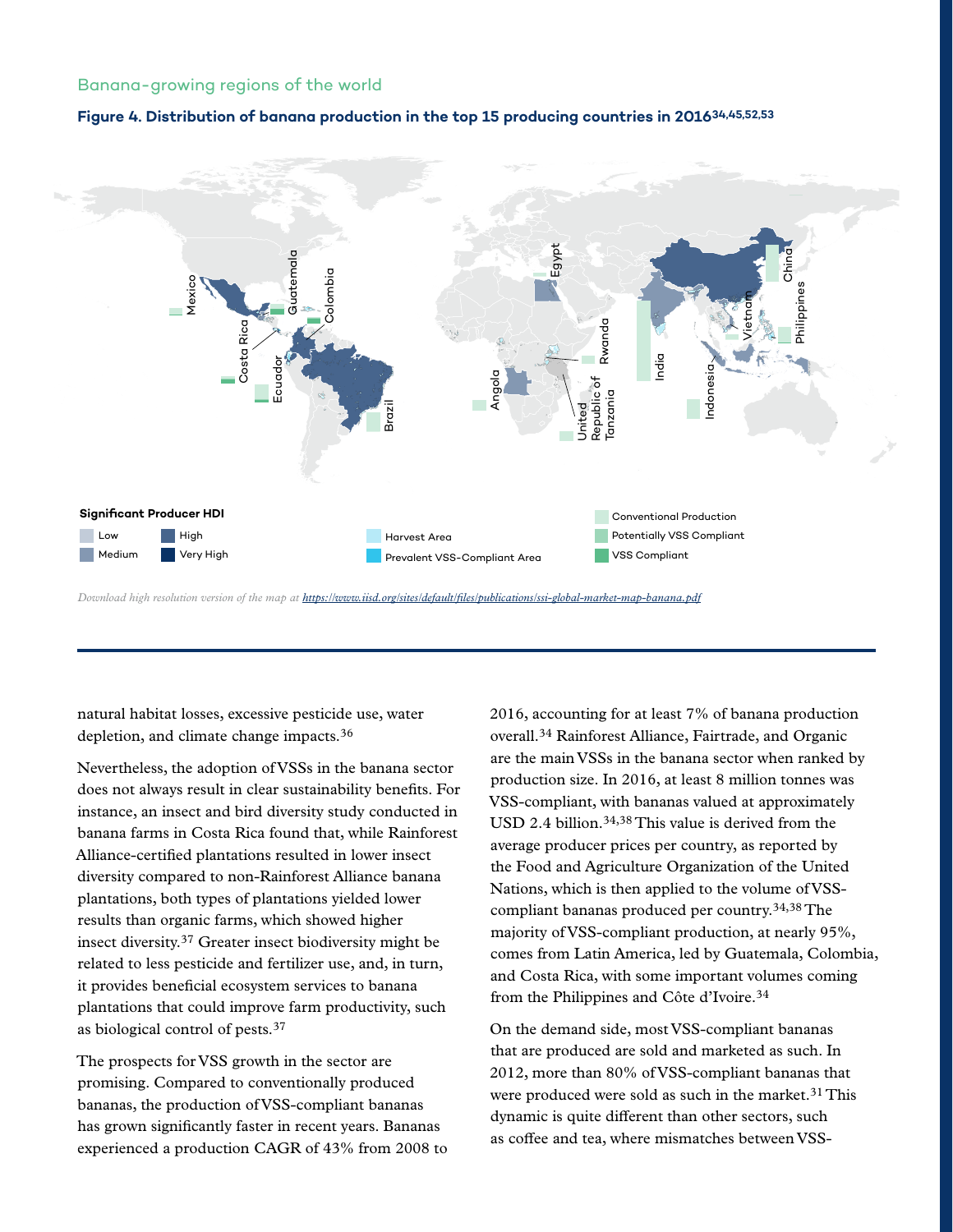## Banana-growing regions of the world

#### **Figure 4. Distribution of banana production in the top 15 producing countries in 201634,45,52,53**



*Download high resolution version of the map at<https://www.iisd.org/sites/default/files/publications/ssi-global-market-map-banana.pdf>*

natural habitat losses, excessive pesticide use, water depletion, and climate change impacts.36

Nevertheless, the adoption of VSSs in the banana sector does not always result in clear sustainability benefits. For instance, an insect and bird diversity study conducted in banana farms in Costa Rica found that, while Rainforest Alliance-certified plantations resulted in lower insect diversity compared to non-Rainforest Alliance banana plantations, both types of plantations yielded lower results than organic farms, which showed higher insect diversity.37 Greater insect biodiversity might be related to less pesticide and fertilizer use, and, in turn, it provides beneficial ecosystem services to banana plantations that could improve farm productivity, such as biological control of pests.37

The prospects for VSS growth in the sector are promising. Compared to conventionally produced bananas, the production of VSS-compliant bananas has grown significantly faster in recent years. Bananas experienced a production CAGR of 43% from 2008 to 2016, accounting for at least 7% of banana production overall.34 Rainforest Alliance, Fairtrade, and Organic are the main VSSs in the banana sector when ranked by production size. In 2016, at least 8 million tonnes was VSS-compliant, with bananas valued at approximately USD 2.4 billion.<sup>34,38</sup> This value is derived from the average producer prices per country, as reported by the Food and Agriculture Organization of the United Nations, which is then applied to the volume of VSScompliant bananas produced per country.34,38 The majority of VSS-compliant production, at nearly 95%, comes from Latin America, led by Guatemala, Colombia, and Costa Rica, with some important volumes coming from the Philippines and Côte d'Ivoire.34

On the demand side, most VSS-compliant bananas that are produced are sold and marketed as such. In 2012, more than 80% of VSS-compliant bananas that were produced were sold as such in the market.<sup>31</sup> This dynamic is quite different than other sectors, such as coffee and tea, where mismatches between VSS-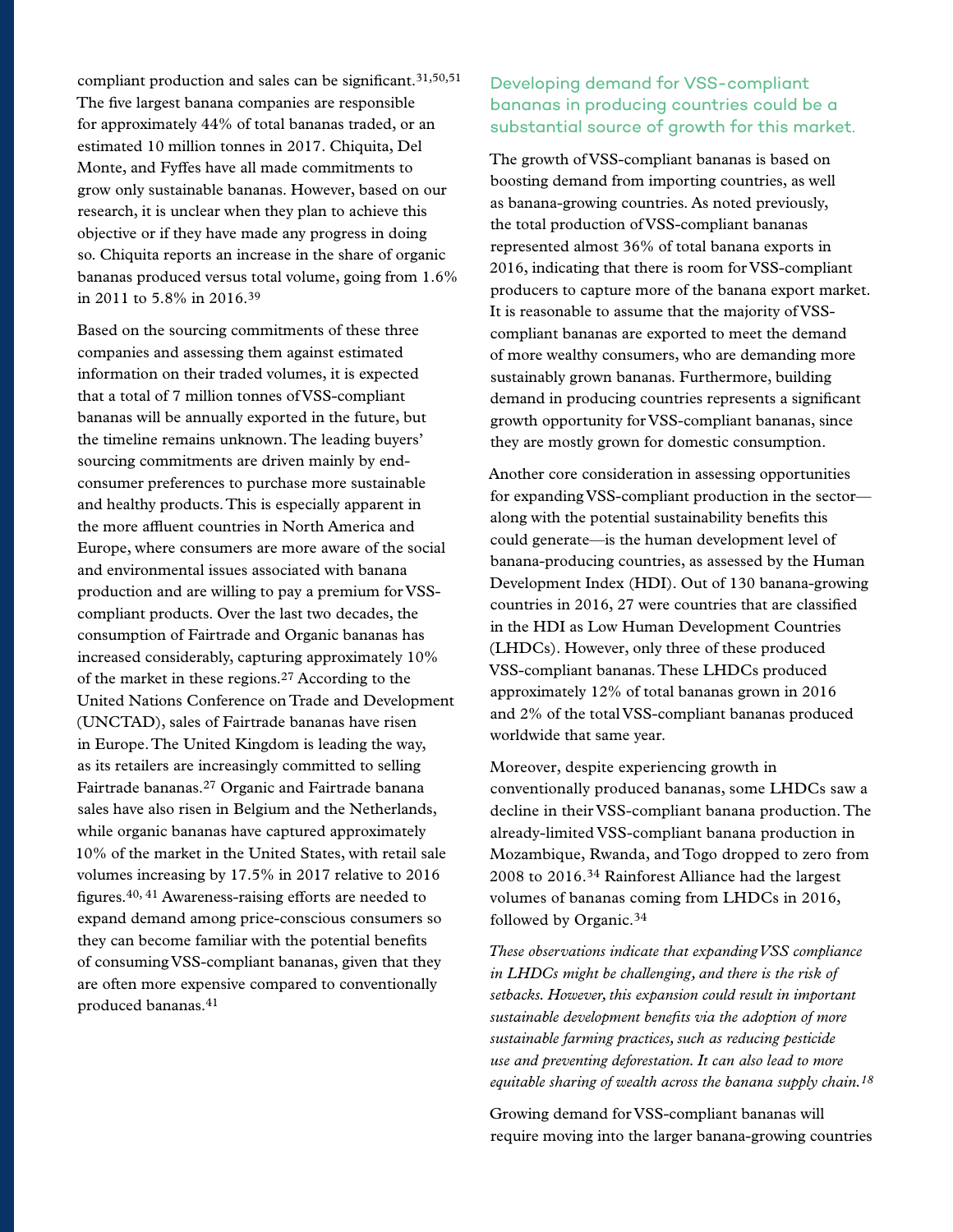compliant production and sales can be significant.31,50,51 The five largest banana companies are responsible for approximately 44% of total bananas traded, or an estimated 10 million tonnes in 2017. Chiquita, Del Monte, and Fyffes have all made commitments to grow only sustainable bananas. However, based on our research, it is unclear when they plan to achieve this objective or if they have made any progress in doing so. Chiquita reports an increase in the share of organic bananas produced versus total volume, going from 1.6% in 2011 to 5.8% in 2016.39

Based on the sourcing commitments of these three companies and assessing them against estimated information on their traded volumes, it is expected that a total of 7 million tonnes of VSS-compliant bananas will be annually exported in the future, but the timeline remains unknown. The leading buyers' sourcing commitments are driven mainly by endconsumer preferences to purchase more sustainable and healthy products. This is especially apparent in the more affluent countries in North America and Europe, where consumers are more aware of the social and environmental issues associated with banana production and are willing to pay a premium for VSScompliant products. Over the last two decades, the consumption of Fairtrade and Organic bananas has increased considerably, capturing approximately 10% of the market in these regions.27 According to the United Nations Conference on Trade and Development (UNCTAD), sales of Fairtrade bananas have risen in Europe. The United Kingdom is leading the way, as its retailers are increasingly committed to selling Fairtrade bananas.27 Organic and Fairtrade banana sales have also risen in Belgium and the Netherlands, while organic bananas have captured approximately 10% of the market in the United States, with retail sale volumes increasing by 17.5% in 2017 relative to 2016 figures.40, 41 Awareness-raising efforts are needed to expand demand among price-conscious consumers so they can become familiar with the potential benefits of consuming VSS-compliant bananas, given that they are often more expensive compared to conventionally produced bananas.41

# Developing demand for VSS-compliant bananas in producing countries could be a substantial source of growth for this market.

The growth of VSS-compliant bananas is based on boosting demand from importing countries, as well as banana-growing countries. As noted previously, the total production of VSS-compliant bananas represented almost 36% of total banana exports in 2016, indicating that there is room for VSS-compliant producers to capture more of the banana export market. It is reasonable to assume that the majority of VSScompliant bananas are exported to meet the demand of more wealthy consumers, who are demanding more sustainably grown bananas. Furthermore, building demand in producing countries represents a significant growth opportunity for VSS-compliant bananas, since they are mostly grown for domestic consumption.

Another core consideration in assessing opportunities for expanding VSS-compliant production in the sector along with the potential sustainability benefits this could generate—is the human development level of banana-producing countries, as assessed by the Human Development Index (HDI). Out of 130 banana-growing countries in 2016, 27 were countries that are classified in the HDI as Low Human Development Countries (LHDCs). However, only three of these produced VSS-compliant bananas. These LHDCs produced approximately 12% of total bananas grown in 2016 and 2% of the total VSS-compliant bananas produced worldwide that same year.

Moreover, despite experiencing growth in conventionally produced bananas, some LHDCs saw a decline in their VSS-compliant banana production. The already-limited VSS-compliant banana production in Mozambique, Rwanda, and Togo dropped to zero from 2008 to 2016.34 Rainforest Alliance had the largest volumes of bananas coming from LHDCs in 2016, followed by Organic.34

*These observations indicate that expanding VSS compliance in LHDCs might be challenging, and there is the risk of setbacks. However, this expansion could result in important sustainable development benefits via the adoption of more sustainable farming practices, such as reducing pesticide use and preventing deforestation. It can also lead to more equitable sharing of wealth across the banana supply chain.18*

Growing demand for VSS-compliant bananas will require moving into the larger banana-growing countries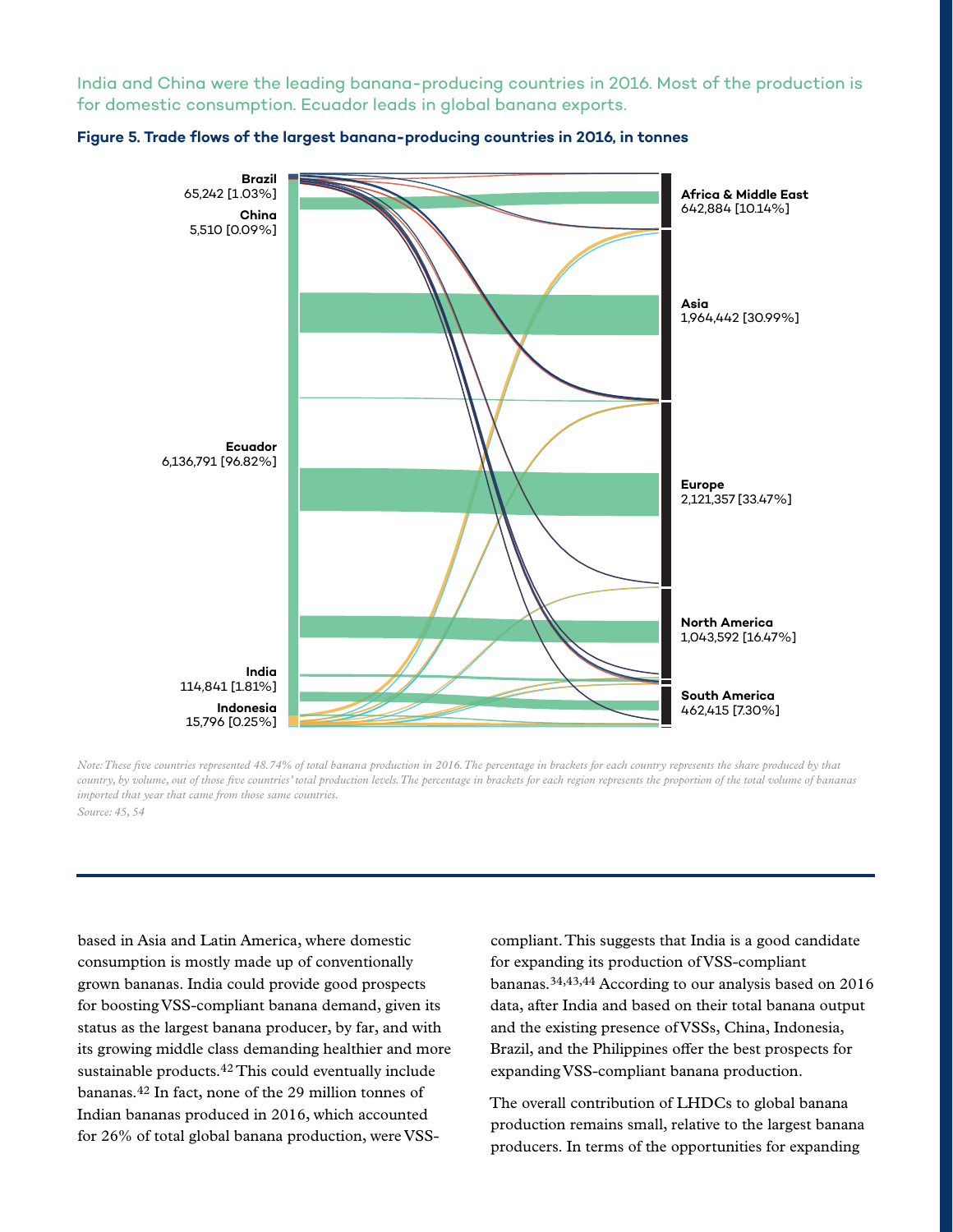India and China were the leading banana-producing countries in 2016. Most of the production is for domestic consumption. Ecuador leads in global banana exports.





*Note: These five countries represented 48.74% of total banana production in 2016. The percentage in brackets for each country represents the share produced by that country, by volume, out of those five countries' total production levels. The percentage in brackets for each region represents the proportion of the total volume of bananas imported that year that came from those same countries. Source: 45, 54*

based in Asia and Latin America, where domestic consumption is mostly made up of conventionally grown bananas. India could provide good prospects for boosting VSS-compliant banana demand, given its status as the largest banana producer, by far, and with its growing middle class demanding healthier and more sustainable products.42 This could eventually include bananas.42 In fact, none of the 29 million tonnes of Indian bananas produced in 2016, which accounted for 26% of total global banana production, were VSS-

compliant. This suggests that India is a good candidate for expanding its production of VSS-compliant bananas.34,43,44 According to our analysis based on 2016 data, after India and based on their total banana output and the existing presence of VSSs, China, Indonesia, Brazil, and the Philippines offer the best prospects for expanding VSS-compliant banana production.

The overall contribution of LHDCs to global banana production remains small, relative to the largest banana producers. In terms of the opportunities for expanding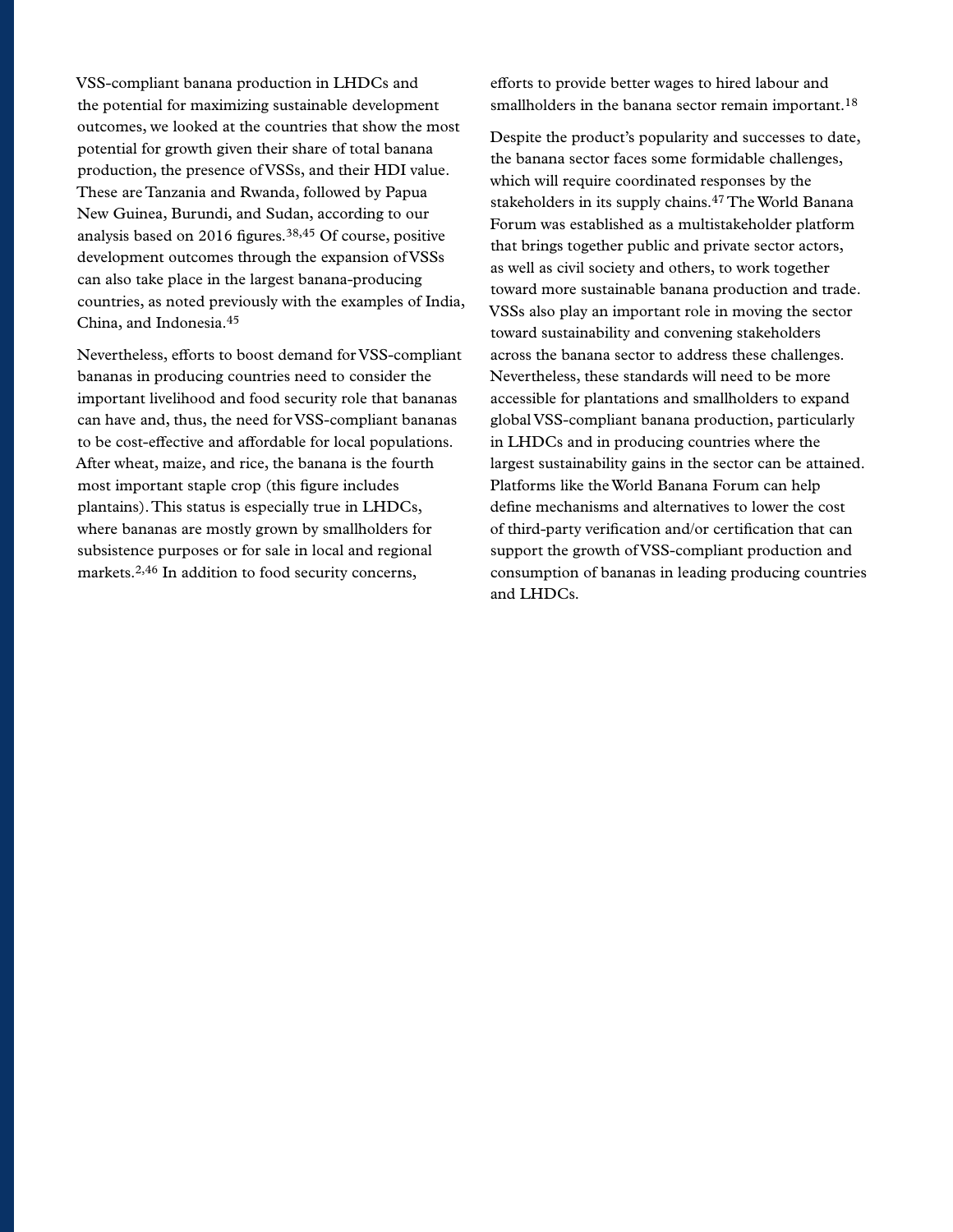VSS-compliant banana production in LHDCs and the potential for maximizing sustainable development outcomes, we looked at the countries that show the most potential for growth given their share of total banana production, the presence of VSSs, and their HDI value. These are Tanzania and Rwanda, followed by Papua New Guinea, Burundi, and Sudan, according to our analysis based on 2016 figures.38,45 Of course, positive development outcomes through the expansion of VSSs can also take place in the largest banana-producing countries, as noted previously with the examples of India, China, and Indonesia.45

Nevertheless, efforts to boost demand for VSS-compliant bananas in producing countries need to consider the important livelihood and food security role that bananas can have and, thus, the need for VSS-compliant bananas to be cost-effective and affordable for local populations. After wheat, maize, and rice, the banana is the fourth most important staple crop (this figure includes plantains). This status is especially true in LHDCs, where bananas are mostly grown by smallholders for subsistence purposes or for sale in local and regional markets.2,46 In addition to food security concerns,

efforts to provide better wages to hired labour and smallholders in the banana sector remain important.<sup>18</sup>

Despite the product's popularity and successes to date, the banana sector faces some formidable challenges, which will require coordinated responses by the stakeholders in its supply chains.47 The World Banana Forum was established as a multistakeholder platform that brings together public and private sector actors, as well as civil society and others, to work together toward more sustainable banana production and trade. VSSs also play an important role in moving the sector toward sustainability and convening stakeholders across the banana sector to address these challenges. Nevertheless, these standards will need to be more accessible for plantations and smallholders to expand global VSS-compliant banana production, particularly in LHDCs and in producing countries where the largest sustainability gains in the sector can be attained. Platforms like the World Banana Forum can help define mechanisms and alternatives to lower the cost of third-party verification and/or certification that can support the growth of VSS-compliant production and consumption of bananas in leading producing countries and LHDCs.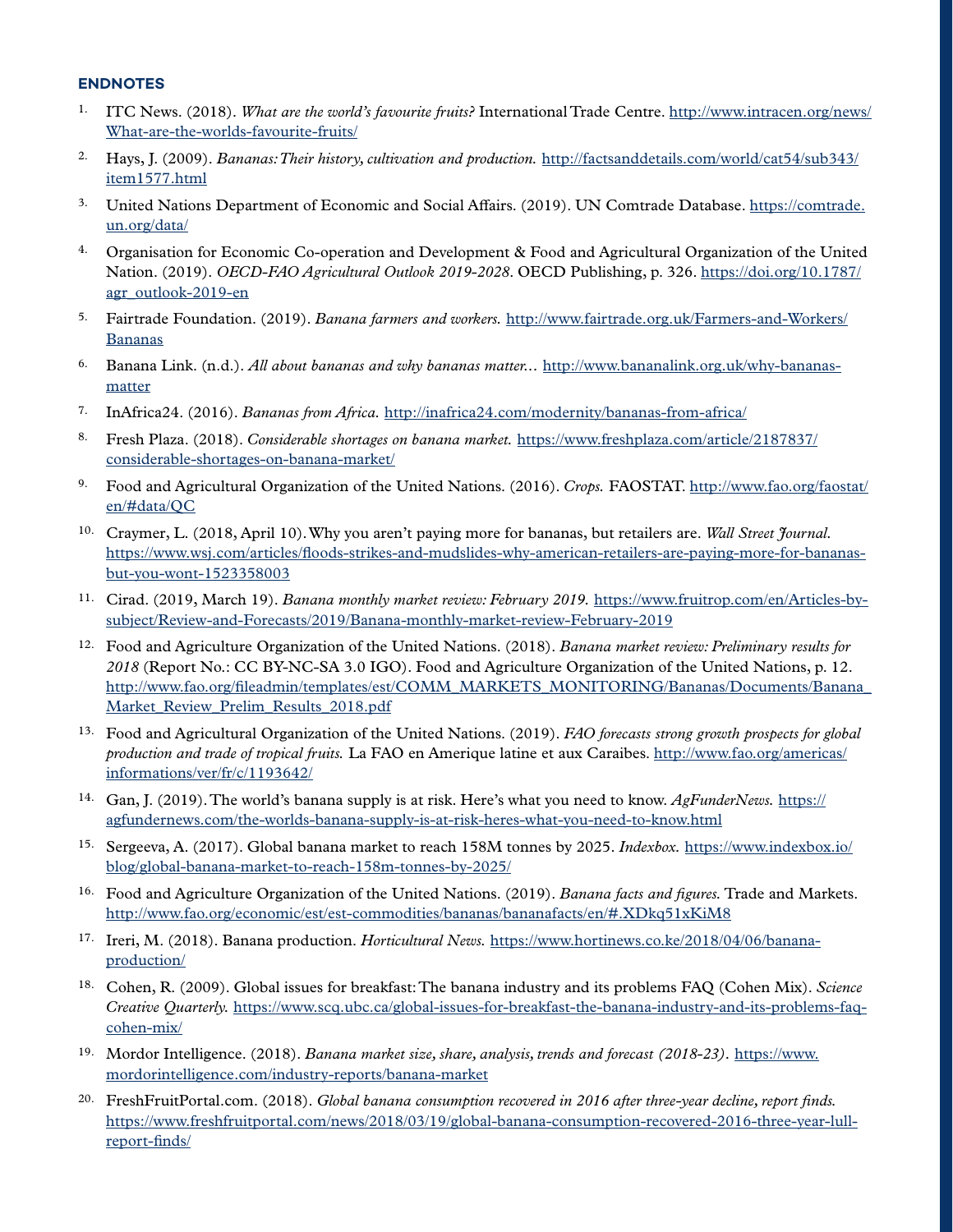#### **ENDNOTES**

- 1. ITC News. (2018). *What are the world's favourite fruits?* International Trade Centre. [http://www.intracen.org/news/](http://www.intracen.org/news/What-are-the-worlds-favourite-fruits/) [What-are-the-worlds-favourite-fruits/](http://www.intracen.org/news/What-are-the-worlds-favourite-fruits/)
- 2. Hays, J. (2009). *Bananas: Their history, cultivation and production.* [http://factsanddetails.com/world/cat54/sub343/](http://factsanddetails.com/world/cat54/sub343/item1577.html) [item1577.html](http://factsanddetails.com/world/cat54/sub343/item1577.html)
- 3. United Nations Department of Economic and Social Affairs. (2019). UN Comtrade Database. [https://comtrade.](https://comtrade.un.org/data/) [un.org/data/](https://comtrade.un.org/data/)
- 4. Organisation for Economic Co-operation and Development & Food and Agricultural Organization of the United Nation. (2019). *OECD-FAO Agricultural Outlook 2019-2028*. OECD Publishing, p. 326. [https://doi.org/10.1787/](https://doi.org/10.1787/agr_outlook-2019-en) [agr\\_outlook-2019-en](https://doi.org/10.1787/agr_outlook-2019-en)
- 5. Fairtrade Foundation. (2019). *Banana farmers and workers.* [http://www.fairtrade.org.uk/Farmers-and-Workers/](http://www.fairtrade.org.uk/Farmers-and-Workers/Bananas) [Bananas](http://www.fairtrade.org.uk/Farmers-and-Workers/Bananas)
- 6. Banana Link. (n.d.). *All about bananas and why bananas matter...* [http://www.bananalink.org.uk/why-bananas](http://www.bananalink.org.uk/why-bananas-matter)[matter](http://www.bananalink.org.uk/why-bananas-matter)
- 7. InAfrica24. (2016). *Bananas from Africa.* <http://inafrica24.com/modernity/bananas-from-africa/>
- 8. Fresh Plaza. (2018). *Considerable shortages on banana market.* [https://www.freshplaza.com/article/2187837/](https://www.freshplaza.com/article/2187837/considerable-shortages-on-banana-market/) [considerable-shortages-on-banana-market/](https://www.freshplaza.com/article/2187837/considerable-shortages-on-banana-market/)
- 9. Food and Agricultural Organization of the United Nations. (2016). *Crops.* FAOSTAT. [http://www.fao.org/faostat/](http://www.fao.org/faostat/en/#data/QC) [en/#data/QC](http://www.fao.org/faostat/en/#data/QC)
- 10. Craymer, L. (2018, April 10). Why you aren't paying more for bananas, but retailers are. *Wall Street Journal.*  [https://www.wsj.com/articles/floods-strikes-and-mudslides-why-american-retailers-are-paying-more-for-bananas](https://www.wsj.com/articles/floods-strikes-and-mudslides-why-american-retailers-are-paying-more-for-bananas-but-you-wont-1523358003)[but-you-wont-1523358003](https://www.wsj.com/articles/floods-strikes-and-mudslides-why-american-retailers-are-paying-more-for-bananas-but-you-wont-1523358003)
- 11. Cirad. (2019, March 19). *Banana monthly market review: February 2019.* [https://www.fruitrop.com/en/Articles-by](https://www.fruitrop.com/en/Articles-by-subject/Review-and-Forecasts/2019/Banana-monthly-market-review-February-2019)[subject/Review-and-Forecasts/2019/Banana-monthly-market-review-February-2019](https://www.fruitrop.com/en/Articles-by-subject/Review-and-Forecasts/2019/Banana-monthly-market-review-February-2019)
- 12. Food and Agriculture Organization of the United Nations. (2018). *Banana market review: Preliminary results for 2018* (Report No.: CC BY-NC-SA 3.0 IGO). Food and Agriculture Organization of the United Nations, p. 12. [http://www.fao.org/fileadmin/templates/est/COMM\\_MARKETS\\_MONITORING/Bananas/Documents/Banana\\_](http://www.fao.org/fileadmin/templates/est/COMM_MARKETS_MONITORING/Bananas/Documents/Banana_Market_Review_Prelim_Results_2018.pdf) Market Review Prelim Results 2018.pdf
- 13. Food and Agricultural Organization of the United Nations. (2019). *FAO forecasts strong growth prospects for global production and trade of tropical fruits.* La FAO en Amerique latine et aux Caraibes. [http://www.fao.org/americas/](http://www.fao.org/americas/informations/ver/fr/c/1193642/) [informations/ver/fr/c/1193642/](http://www.fao.org/americas/informations/ver/fr/c/1193642/)
- 14. Gan, J. (2019). The world's banana supply is at risk. Here's what you need to know. *AgFunderNews.* [https://](https://agfundernews.com/the-worlds-banana-supply-is-at-risk-heres-what-you-need-to-know.html) [agfundernews.com/the-worlds-banana-supply-is-at-risk-heres-what-you-need-to-know.html](https://agfundernews.com/the-worlds-banana-supply-is-at-risk-heres-what-you-need-to-know.html)
- 15. Sergeeva, A. (2017). Global banana market to reach 158M tonnes by 2025. *Indexbox.* [https://www.indexbox.io/](https://www.indexbox.io/blog/global-banana-market-to-reach-158m-tonnes-by-2025/) [blog/global-banana-market-to-reach-158m-tonnes-by-2025/](https://www.indexbox.io/blog/global-banana-market-to-reach-158m-tonnes-by-2025/)
- 16. Food and Agriculture Organization of the United Nations. (2019). *Banana facts and figures.* Trade and Markets. <http://www.fao.org/economic/est/est-commodities/bananas/bananafacts/en/#.XDkq51xKiM8>
- 17. Ireri, M. (2018). Banana production. *Horticultural News.* [https://www.hortinews.co.ke/2018/04/06/banana](https://www.hortinews.co.ke/2018/04/06/banana-production/)[production/](https://www.hortinews.co.ke/2018/04/06/banana-production/)
- 18. Cohen, R. (2009). Global issues for breakfast: The banana industry and its problems FAQ (Cohen Mix). *Science Creative Quarterly.* [https://www.scq.ubc.ca/global-issues-for-breakfast-the-banana-industry-and-its-problems-faq](https://www.scq.ubc.ca/global-issues-for-breakfast-the-banana-industry-and-its-problems-faq-cohen-mix/)[cohen-mix/](https://www.scq.ubc.ca/global-issues-for-breakfast-the-banana-industry-and-its-problems-faq-cohen-mix/)
- 19. Mordor Intelligence. (2018). *Banana market size, share, analysis, trends and forecast (2018-23).* [https://www.](https://www.mordorintelligence.com/industry-reports/banana-market) [mordorintelligence.com/industry-reports/banana-market](https://www.mordorintelligence.com/industry-reports/banana-market)
- 20. FreshFruitPortal.com. (2018). *Global banana consumption recovered in 2016 after three-year decline, report finds.* [https://www.freshfruitportal.com/news/2018/03/19/global-banana-consumption-recovered-2016-three-year-lull](https://www.freshfruitportal.com/news/2018/03/19/global-banana-consumption-recovered-2016-three-year-lull-report-finds/)[report-finds/](https://www.freshfruitportal.com/news/2018/03/19/global-banana-consumption-recovered-2016-three-year-lull-report-finds/)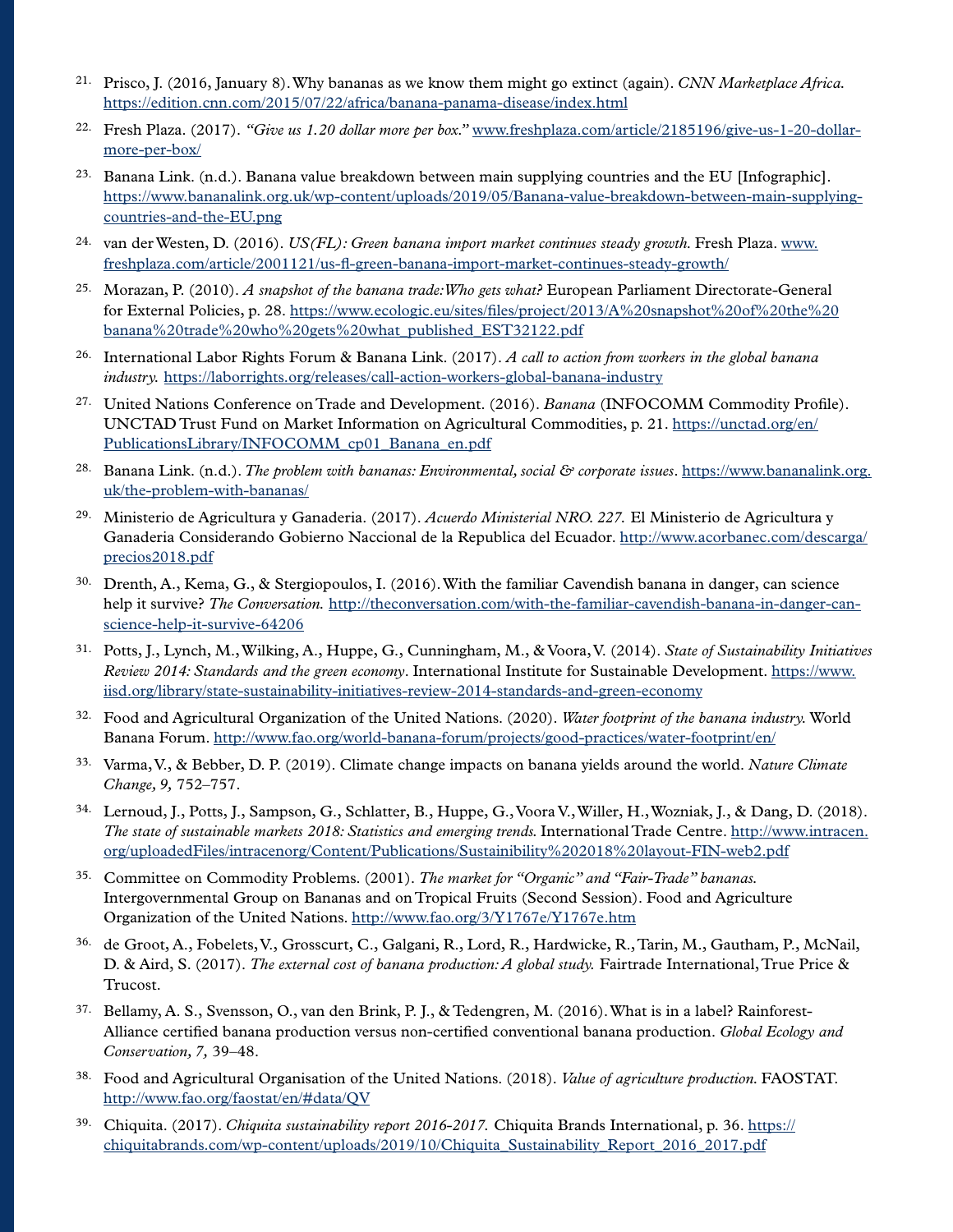- 21. Prisco, J. (2016, January 8). Why bananas as we know them might go extinct (again). *CNN Marketplace Africa.* <https://edition.cnn.com/2015/07/22/africa/banana-panama-disease/index.html>
- 22. Fresh Plaza. (2017). *"Give us 1.20 dollar more per box."* [www.freshplaza.com/article/2185196/give-us-1-20-dollar](http://www.freshplaza.com/article/2185196/give-us-1-20-dollar-more-per-box/)[more-per-box/](http://www.freshplaza.com/article/2185196/give-us-1-20-dollar-more-per-box/)
- <sup>23.</sup> Banana Link. (n.d.). Banana value breakdown between main supplying countries and the EU [Infographic]. [https://www.bananalink.org.uk/wp-content/uploads/2019/05/Banana-value-breakdown-between-main-supplying](https://www.bananalink.org.uk/wp-content/uploads/2019/05/Banana-value-breakdown-between-main-supplying-countries-and-the-EU.png)[countries-and-the-EU.png](https://www.bananalink.org.uk/wp-content/uploads/2019/05/Banana-value-breakdown-between-main-supplying-countries-and-the-EU.png)
- 24. van der Westen, D. (2016). *US(FL): Green banana import market continues steady growth.* Fresh Plaza. [www.](http://www.freshplaza.com/article/2001121/us-fl-green-banana-import-market-continues-steady-growth/) [freshplaza.com/article/2001121/us-fl-green-banana-import-market-continues-steady-growth/](http://www.freshplaza.com/article/2001121/us-fl-green-banana-import-market-continues-steady-growth/)
- 25. Morazan, P. (2010). *A snapshot of the banana trade: Who gets what?* European Parliament Directorate-General for External Policies, p. 28. [https://www.ecologic.eu/sites/files/project/2013/A%20snapshot%20of%20the%20](https://www.ecologic.eu/sites/files/project/2013/A%20snapshot%20of%20the%20banana%20trade%20who%20gets%20what_published_EST32122.pdf) [banana%20trade%20who%20gets%20what\\_published\\_EST32122.pdf](https://www.ecologic.eu/sites/files/project/2013/A%20snapshot%20of%20the%20banana%20trade%20who%20gets%20what_published_EST32122.pdf)
- 26. International Labor Rights Forum & Banana Link. (2017). *A call to action from workers in the global banana industry.* <https://laborrights.org/releases/call-action-workers-global-banana-industry>
- 27. United Nations Conference on Trade and Development. (2016). *Banana* (INFOCOMM Commodity Profile). UNCTAD Trust Fund on Market Information on Agricultural Commodities, p. 21. [https://unctad.org/en/](https://unctad.org/en/PublicationsLibrary/INFOCOMM_cp01_Banana_en.pdf) [PublicationsLibrary/INFOCOMM\\_cp01\\_Banana\\_en.pdf](https://unctad.org/en/PublicationsLibrary/INFOCOMM_cp01_Banana_en.pdf)
- 28. Banana Link. (n.d.). *The problem with bananas: Environmental, social & corporate issues*. [https://www.bananalink.org.](https://www.bananalink.org.uk/the-problem-with-bananas/) [uk/the-problem-with-bananas/](https://www.bananalink.org.uk/the-problem-with-bananas/)
- 29. Ministerio de Agricultura y Ganaderia. (2017). *Acuerdo Ministerial NRO. 227.* El Ministerio de Agricultura y Ganaderia Considerando Gobierno Naccional de la Republica del Ecuador. [http://www.acorbanec.com/descarga/](http://www.acorbanec.com/descarga/precios2018.pdf) [precios2018.pdf](http://www.acorbanec.com/descarga/precios2018.pdf)
- 30. Drenth, A., Kema, G., & Stergiopoulos, I. (2016). With the familiar Cavendish banana in danger, can science help it survive? *The Conversation.* [http://theconversation.com/with-the-familiar-cavendish-banana-in-danger-can](http://theconversation.com/with-the-familiar-cavendish-banana-in-danger-can-science-help-it-survive-64206)[science-help-it-survive-64206](http://theconversation.com/with-the-familiar-cavendish-banana-in-danger-can-science-help-it-survive-64206)
- 31. Potts, J., Lynch, M., Wilking, A., Huppe, G., Cunningham, M., & Voora, V. (2014). *State of Sustainability Initiatives Review 2014: Standards and the green economy*. International Institute for Sustainable Development. [https://www.](https://www.iisd.org/library/state-sustainability-initiatives-review-2014-standards-and-green-economy) [iisd.org/library/state-sustainability-initiatives-review-2014-standards-and-green-economy](https://www.iisd.org/library/state-sustainability-initiatives-review-2014-standards-and-green-economy)
- 32. Food and Agricultural Organization of the United Nations. (2020). *Water footprint of the banana industry.* World Banana Forum.<http://www.fao.org/world-banana-forum/projects/good-practices/water-footprint/en/>
- 33. Varma, V., & Bebber, D. P. (2019). Climate change impacts on banana yields around the world. *Nature Climate Change, 9,* 752–757.
- 34. Lernoud, J., Potts, J., Sampson, G., Schlatter, B., Huppe, G., Voora V., Willer, H., Wozniak, J., & Dang, D. (2018). *The state of sustainable markets 2018: Statistics and emerging trends.* International Trade Centre. [http://www.intracen.](http://www.intracen.org/uploadedFiles/intracenorg/Content/Publications/Sustainibility%202018%20layout-FIN-web2.pdf) [org/uploadedFiles/intracenorg/Content/Publications/Sustainibility%202018%20layout-FIN-web2.pdf](http://www.intracen.org/uploadedFiles/intracenorg/Content/Publications/Sustainibility%202018%20layout-FIN-web2.pdf)
- 35. Committee on Commodity Problems. (2001). *The market for "Organic" and "Fair-Trade" bananas.* Intergovernmental Group on Bananas and on Tropical Fruits (Second Session). Food and Agriculture Organization of the United Nations.<http://www.fao.org/3/Y1767e/Y1767e.htm>
- 36. de Groot, A., Fobelets, V., Grosscurt, C., Galgani, R., Lord, R., Hardwicke, R., Tarin, M., Gautham, P., McNail, D. & Aird, S. (2017). *The external cost of banana production: A global study.* Fairtrade International, True Price & Trucost.
- 37. Bellamy, A. S., Svensson, O., van den Brink, P. J., & Tedengren, M. (2016). What is in a label? Rainforest-Alliance certified banana production versus non-certified conventional banana production. *Global Ecology and Conservation, 7,* 39–48.
- 38. Food and Agricultural Organisation of the United Nations. (2018). *Value of agriculture production.* FAOSTAT. <http://www.fao.org/faostat/en/#data/QV>
- 39. Chiquita. (2017). *Chiquita sustainability report 2016-2017.* Chiquita Brands International, p. 36. [https://](https://chiquitabrands.com/wp-content/uploads/2019/10/Chiquita_Sustainability_Report_2016_2017.pdf) [chiquitabrands.com/wp-content/uploads/2019/10/Chiquita\\_Sustainability\\_Report\\_2016\\_2017.pdf](https://chiquitabrands.com/wp-content/uploads/2019/10/Chiquita_Sustainability_Report_2016_2017.pdf)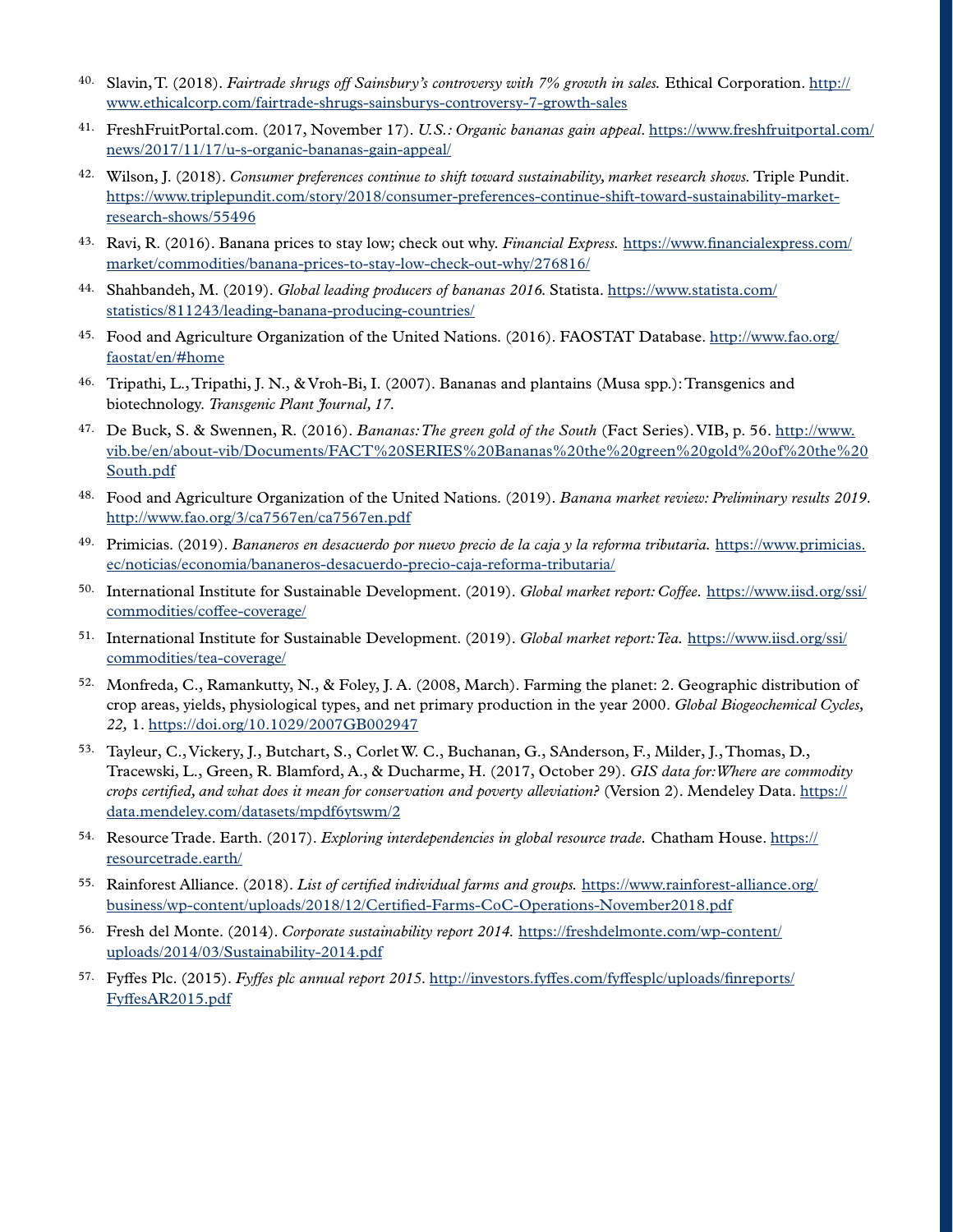- 40. Slavin, T. (2018). *Fairtrade shrugs off Sainsbury's controversy with 7% growth in sales.* Ethical Corporation. [http://](http://www.ethicalcorp.com/fairtrade-shrugs-sainsburys-controversy-7-growth-sales) [www.ethicalcorp.com/fairtrade-shrugs-sainsburys-controversy-7-growth-sales](http://www.ethicalcorp.com/fairtrade-shrugs-sainsburys-controversy-7-growth-sales)
- 41. FreshFruitPortal.com. (2017, November 17). *U.S.: Organic bananas gain appeal*. [https://www.freshfruitportal.com/](https://www.freshfruitportal.com/news/2017/11/17/u-s-organic-bananas-gain-appeal/) [news/2017/11/17/u-s-organic-bananas-gain-appeal/](https://www.freshfruitportal.com/news/2017/11/17/u-s-organic-bananas-gain-appeal/)
- 42. Wilson, J. (2018). *Consumer preferences continue to shift toward sustainability, market research shows.* Triple Pundit. [https://www.triplepundit.com/story/2018/consumer-preferences-continue-shift-toward-sustainability-market](https://www.triplepundit.com/story/2018/consumer-preferences-continue-shift-toward-sustainability-market-research-shows/55496)[research-shows/55496](https://www.triplepundit.com/story/2018/consumer-preferences-continue-shift-toward-sustainability-market-research-shows/55496)
- 43. Ravi, R. (2016). Banana prices to stay low; check out why. *Financial Express.* [https://www.financialexpress.com/](https://www.financialexpress.com/market/commodities/banana-prices-to-stay-low-check-out-why/276816/) [market/commodities/banana-prices-to-stay-low-check-out-why/276816/](https://www.financialexpress.com/market/commodities/banana-prices-to-stay-low-check-out-why/276816/)
- 44. Shahbandeh, M. (2019). *Global leading producers of bananas 2016.* Statista. [https://www.statista.com/](https://www.statista.com/statistics/811243/leading-banana-producing-countries/) [statistics/811243/leading-banana-producing-countries/](https://www.statista.com/statistics/811243/leading-banana-producing-countries/)
- 45. Food and Agriculture Organization of the United Nations. (2016). FAOSTAT Database. [http://www.fao.org/](http://www.fao.org/faostat/en/#home) [faostat/en/#home](http://www.fao.org/faostat/en/#home)
- 46. Tripathi, L., Tripathi, J. N., & Vroh-Bi, I. (2007). Bananas and plantains (Musa spp.): Transgenics and biotechnology. *Transgenic Plant Journal, 17.*
- 47. De Buck, S. & Swennen, R. (2016). *Bananas: The green gold of the South* (Fact Series). VIB, p. 56. [http://www.](http://www.vib.be/en/about-vib/Documents/FACT%20SERIES%20Bananas%20the%20green%20gold%20of%20the%20South.pdf) [vib.be/en/about-vib/Documents/FACT%20SERIES%20Bananas%20the%20green%20gold%20of%20the%20](http://www.vib.be/en/about-vib/Documents/FACT%20SERIES%20Bananas%20the%20green%20gold%20of%20the%20South.pdf) [South.pdf](http://www.vib.be/en/about-vib/Documents/FACT%20SERIES%20Bananas%20the%20green%20gold%20of%20the%20South.pdf)
- 48. Food and Agriculture Organization of the United Nations. (2019). *Banana market review: Preliminary results 2019*. <http://www.fao.org/3/ca7567en/ca7567en.pdf>
- 49. Primicias. (2019). *Bananeros en desacuerdo por nuevo precio de la caja y la reforma tributaria.* [https://www.primicias.](https://www.primicias.ec/noticias/economia/bananeros-desacuerdo-precio-caja-reforma-tributaria/) [ec/noticias/economia/bananeros-desacuerdo-precio-caja-reforma-tributaria/](https://www.primicias.ec/noticias/economia/bananeros-desacuerdo-precio-caja-reforma-tributaria/)
- 50. International Institute for Sustainable Development. (2019). *Global market report: Coffee.* [https://www.iisd.org/ssi/](https://www.iisd.org/ssi/commodities/coffee-coverage/) [commodities/coffee-coverage/](https://www.iisd.org/ssi/commodities/coffee-coverage/)
- 51. International Institute for Sustainable Development. (2019). *Global market report: Tea.* [https://www.iisd.org/ssi/](https://www.iisd.org/ssi/commodities/tea-coverage/) [commodities/tea-coverage/](https://www.iisd.org/ssi/commodities/tea-coverage/)
- 52. Monfreda, C., Ramankutty, N., & Foley, J. A. (2008, March). Farming the planet: 2. Geographic distribution of crop areas, yields, physiological types, and net primary production in the year 2000. *Global Biogeochemical Cycles, 22,* 1. <https://doi.org/10.1029/2007GB002947>
- 53. Tayleur, C., Vickery, J., Butchart, S., Corlet W. C., Buchanan, G., SAnderson, F., Milder, J., Thomas, D., Tracewski, L., Green, R. Blamford, A., & Ducharme, H. (2017, October 29). *GIS data for: Where are commodity crops certified, and what does it mean for conservation and poverty alleviation?* (Version 2). Mendeley Data. [https://](https://data.mendeley.com/datasets/mpdf6ytswm/2) [data.mendeley.com/datasets/mpdf6ytswm/2](https://data.mendeley.com/datasets/mpdf6ytswm/2)
- 54. Resource Trade. Earth. (2017). *Exploring interdependencies in global resource trade.* Chatham House. [https://](https://resourcetrade.earth/) [resourcetrade.earth/](https://resourcetrade.earth/)
- 55. Rainforest Alliance. (2018). *List of certified individual farms and groups.* [https://www.rainforest-alliance.org/](https://www.rainforest-alliance.org/business/wp-content/uploads/2018/12/Certified-Farms-CoC-Operations-November2018.pdf) [business/wp-content/uploads/2018/12/Certified-Farms-CoC-Operations-November2018.pdf](https://www.rainforest-alliance.org/business/wp-content/uploads/2018/12/Certified-Farms-CoC-Operations-November2018.pdf)
- 56. Fresh del Monte. (2014). *Corporate sustainability report 2014.* [https://freshdelmonte.com/wp-content/](https://freshdelmonte.com/wp-content/uploads/2014/03/Sustainability-2014.pdf) [uploads/2014/03/Sustainability-2014.pdf](https://freshdelmonte.com/wp-content/uploads/2014/03/Sustainability-2014.pdf)
- 57. Fyffes Plc. (2015). *Fyffes plc annual report 2015*. [http://investors.fyffes.com/fyffesplc/uploads/finreports/](http://investors.fyffes.com/fyffesplc/uploads/finreports/FyffesAR2015.pdf) [FyffesAR2015.pdf](http://investors.fyffes.com/fyffesplc/uploads/finreports/FyffesAR2015.pdf)